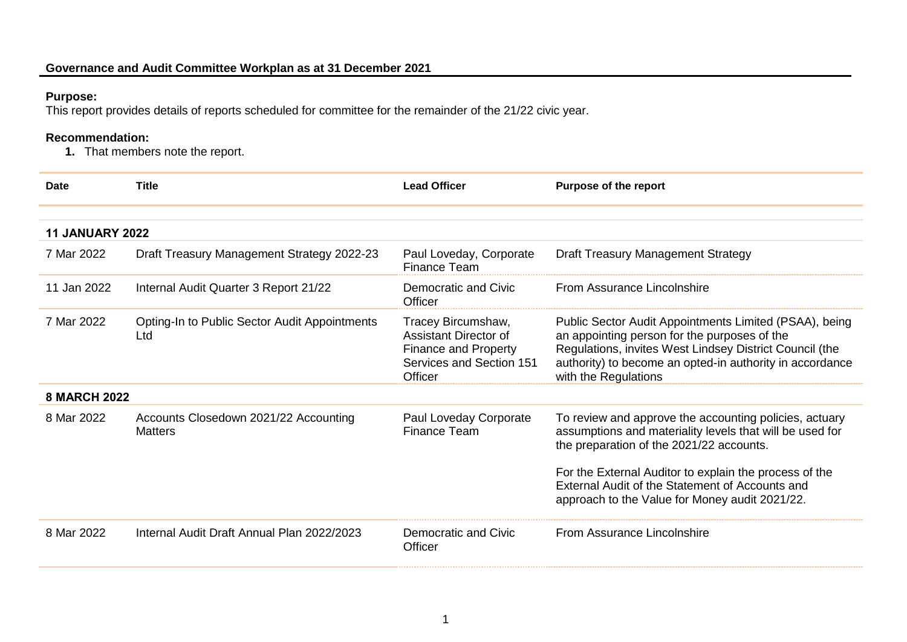## **Purpose:**

This report provides details of reports scheduled for committee for the remainder of the 21/22 civic year.

## **Recommendation:**

**1.** That members note the report.

| <b>Date</b>            | <b>Title</b>                                            | <b>Lead Officer</b>                                                                                                      | <b>Purpose of the report</b>                                                                                                                                                                                                                                                                                                  |  |
|------------------------|---------------------------------------------------------|--------------------------------------------------------------------------------------------------------------------------|-------------------------------------------------------------------------------------------------------------------------------------------------------------------------------------------------------------------------------------------------------------------------------------------------------------------------------|--|
|                        |                                                         |                                                                                                                          |                                                                                                                                                                                                                                                                                                                               |  |
| <b>11 JANUARY 2022</b> |                                                         |                                                                                                                          |                                                                                                                                                                                                                                                                                                                               |  |
| 7 Mar 2022             | Draft Treasury Management Strategy 2022-23              | Paul Loveday, Corporate<br>Finance Team                                                                                  | <b>Draft Treasury Management Strategy</b>                                                                                                                                                                                                                                                                                     |  |
| 11 Jan 2022            | Internal Audit Quarter 3 Report 21/22                   | Democratic and Civic<br>Officer                                                                                          | From Assurance Lincolnshire                                                                                                                                                                                                                                                                                                   |  |
| 7 Mar 2022             | Opting-In to Public Sector Audit Appointments<br>Ltd    | Tracey Bircumshaw,<br><b>Assistant Director of</b><br><b>Finance and Property</b><br>Services and Section 151<br>Officer | Public Sector Audit Appointments Limited (PSAA), being<br>an appointing person for the purposes of the<br>Regulations, invites West Lindsey District Council (the<br>authority) to become an opted-in authority in accordance<br>with the Regulations                                                                         |  |
| <b>8 MARCH 2022</b>    |                                                         |                                                                                                                          |                                                                                                                                                                                                                                                                                                                               |  |
| 8 Mar 2022             | Accounts Closedown 2021/22 Accounting<br><b>Matters</b> | Paul Loveday Corporate<br>Finance Team                                                                                   | To review and approve the accounting policies, actuary<br>assumptions and materiality levels that will be used for<br>the preparation of the 2021/22 accounts.<br>For the External Auditor to explain the process of the<br>External Audit of the Statement of Accounts and<br>approach to the Value for Money audit 2021/22. |  |
|                        |                                                         |                                                                                                                          |                                                                                                                                                                                                                                                                                                                               |  |
| 8 Mar 2022             | Internal Audit Draft Annual Plan 2022/2023              | Democratic and Civic<br>Officer                                                                                          | From Assurance Lincolnshire                                                                                                                                                                                                                                                                                                   |  |